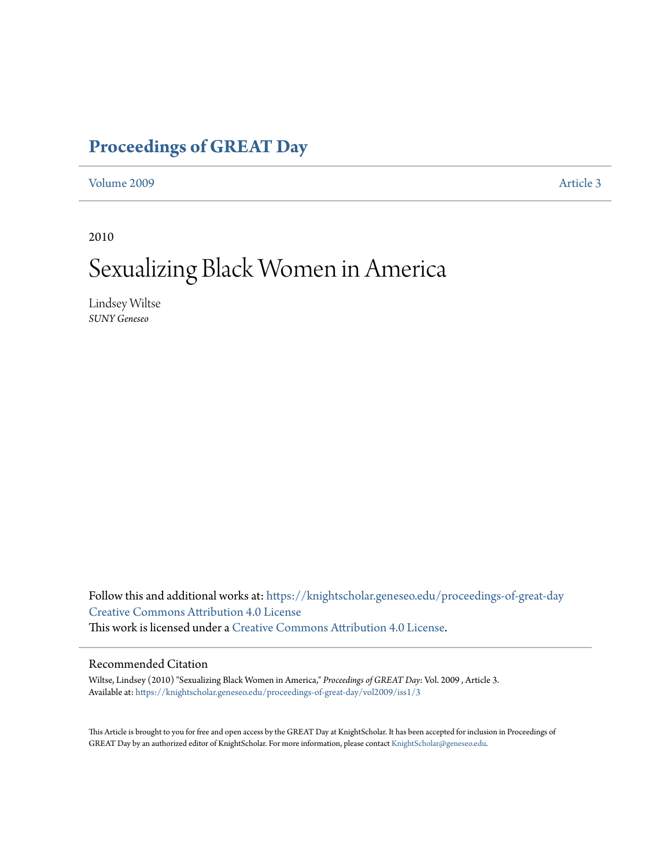## **[Proceedings of GREAT Day](https://knightscholar.geneseo.edu/proceedings-of-great-day?utm_source=knightscholar.geneseo.edu%2Fproceedings-of-great-day%2Fvol2009%2Fiss1%2F3&utm_medium=PDF&utm_campaign=PDFCoverPages)**

[Volume 2009](https://knightscholar.geneseo.edu/proceedings-of-great-day/vol2009?utm_source=knightscholar.geneseo.edu%2Fproceedings-of-great-day%2Fvol2009%2Fiss1%2F3&utm_medium=PDF&utm_campaign=PDFCoverPages) [Article 3](https://knightscholar.geneseo.edu/proceedings-of-great-day/vol2009/iss1/3?utm_source=knightscholar.geneseo.edu%2Fproceedings-of-great-day%2Fvol2009%2Fiss1%2F3&utm_medium=PDF&utm_campaign=PDFCoverPages)

2010

## Sexualizing Black Women in America

Lindsey Wiltse *SUNY Geneseo*

Follow this and additional works at: [https://knightscholar.geneseo.edu/proceedings-of-great-day](https://knightscholar.geneseo.edu/proceedings-of-great-day?utm_source=knightscholar.geneseo.edu%2Fproceedings-of-great-day%2Fvol2009%2Fiss1%2F3&utm_medium=PDF&utm_campaign=PDFCoverPages) [Creative Commons Attribution 4.0 License](http://creativecommons.org/licenses/by/4.0/) This work is licensed under a [Creative Commons Attribution 4.0 License.](http://creativecommons.org/licenses/by/4.0/)

### Recommended Citation

Wiltse, Lindsey (2010) "Sexualizing Black Women in America," *Proceedings of GREAT Day*: Vol. 2009 , Article 3. Available at: [https://knightscholar.geneseo.edu/proceedings-of-great-day/vol2009/iss1/3](https://knightscholar.geneseo.edu/proceedings-of-great-day/vol2009/iss1/3?utm_source=knightscholar.geneseo.edu%2Fproceedings-of-great-day%2Fvol2009%2Fiss1%2F3&utm_medium=PDF&utm_campaign=PDFCoverPages)

This Article is brought to you for free and open access by the GREAT Day at KnightScholar. It has been accepted for inclusion in Proceedings of GREAT Day by an authorized editor of KnightScholar. For more information, please contact [KnightScholar@geneseo.edu.](mailto:KnightScholar@geneseo.edu)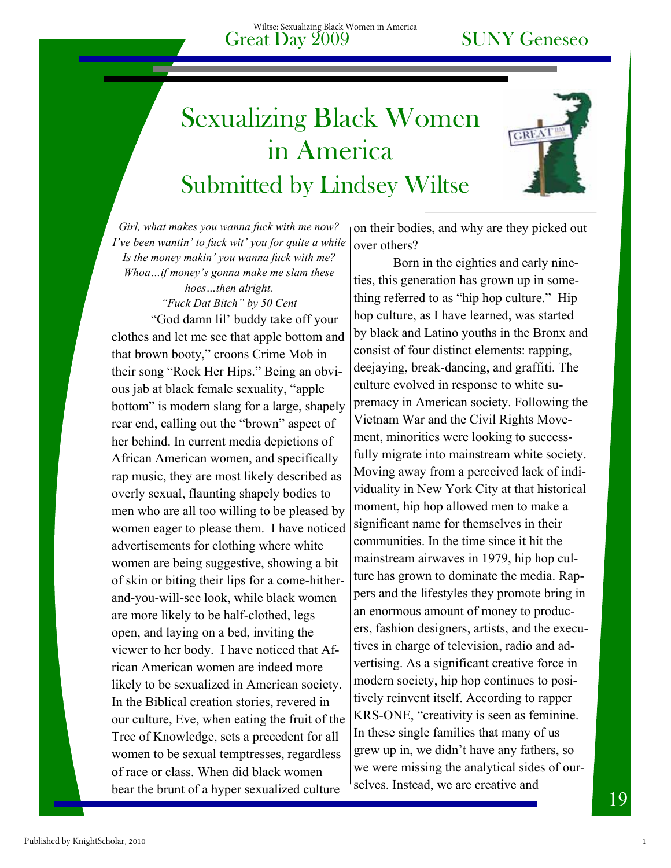Great Day 2009 SUNY Geneseo Wiltse: Sexualizing Black Women in America

# Submitted by Lindsey Wiltse Sexualizing Black Women in America



*Girl, what makes you wanna fuck with me now? I've been wantin' to fuck wit' you for quite a while Is the money makin' you wanna fuck with me? Whoa…if money's gonna make me slam these hoes…then alright. "Fuck Dat Bitch" by 50 Cent* 

"God damn lil' buddy take off your clothes and let me see that apple bottom and that brown booty," croons Crime Mob in their song "Rock Her Hips." Being an obvious jab at black female sexuality, "apple bottom" is modern slang for a large, shapely rear end, calling out the "brown" aspect of her behind. In current media depictions of African American women, and specifically rap music, they are most likely described as overly sexual, flaunting shapely bodies to men who are all too willing to be pleased by women eager to please them. I have noticed advertisements for clothing where white women are being suggestive, showing a bit of skin or biting their lips for a come-hitherand-you-will-see look, while black women are more likely to be half-clothed, legs open, and laying on a bed, inviting the viewer to her body. I have noticed that African American women are indeed more likely to be sexualized in American society. In the Biblical creation stories, revered in our culture, Eve, when eating the fruit of the Tree of Knowledge, sets a precedent for all women to be sexual temptresses, regardless of race or class. When did black women bear the brunt of a hyper sexualized culture

on their bodies, and why are they picked out over others?

 Born in the eighties and early nineties, this generation has grown up in something referred to as "hip hop culture." Hip hop culture, as I have learned, was started by black and Latino youths in the Bronx and consist of four distinct elements: rapping, deejaying, break-dancing, and graffiti. The culture evolved in response to white supremacy in American society. Following the Vietnam War and the Civil Rights Movement, minorities were looking to successfully migrate into mainstream white society. Moving away from a perceived lack of individuality in New York City at that historical moment, hip hop allowed men to make a significant name for themselves in their communities. In the time since it hit the mainstream airwaves in 1979, hip hop culture has grown to dominate the media. Rappers and the lifestyles they promote bring in an enormous amount of money to producers, fashion designers, artists, and the executives in charge of television, radio and advertising. As a significant creative force in modern society, hip hop continues to positively reinvent itself. According to rapper KRS-ONE, "creativity is seen as feminine. In these single families that many of us grew up in, we didn't have any fathers, so we were missing the analytical sides of ourselves. Instead, we are creative and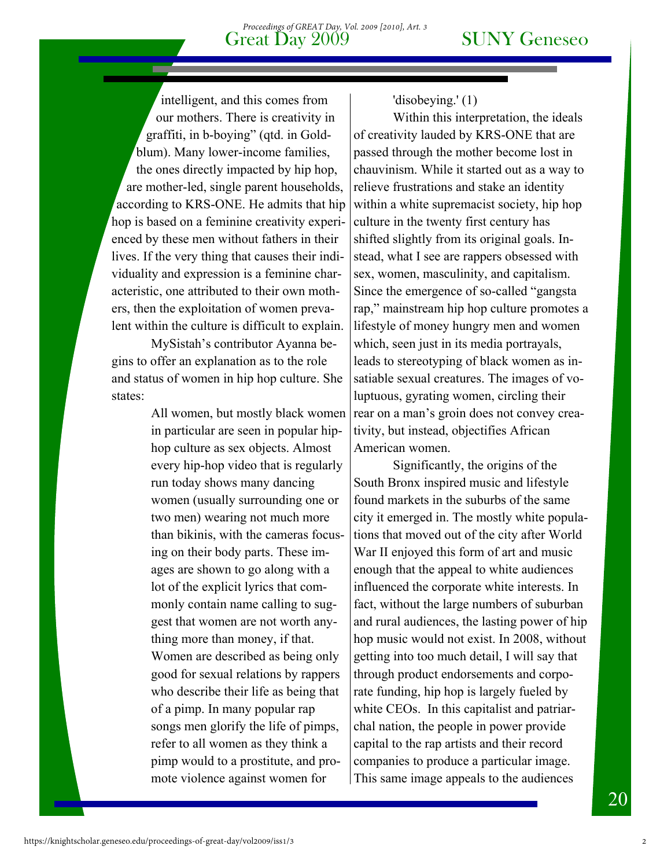### Great Day 2009 SUNY Geneseo *Proceedings of GREAT Day, Vol. 2009 [2010], Art. 3*

intelligent, and this comes from our mothers. There is creativity in graffiti, in b-boying" (qtd. in Goldblum). Many lower-income families, the ones directly impacted by hip hop, are mother-led, single parent households, according to KRS-ONE. He admits that hip hop is based on a feminine creativity experienced by these men without fathers in their lives. If the very thing that causes their individuality and expression is a feminine characteristic, one attributed to their own mothers, then the exploitation of women prevalent within the culture is difficult to explain.

MySistah's contributor Ayanna begins to offer an explanation as to the role and status of women in hip hop culture. She states:

> All women, but mostly black women in particular are seen in popular hiphop culture as sex objects. Almost every hip-hop video that is regularly run today shows many dancing women (usually surrounding one or two men) wearing not much more than bikinis, with the cameras focusing on their body parts. These images are shown to go along with a lot of the explicit lyrics that commonly contain name calling to suggest that women are not worth anything more than money, if that. Women are described as being only good for sexual relations by rappers who describe their life as being that of a pimp. In many popular rap songs men glorify the life of pimps, refer to all women as they think a pimp would to a prostitute, and promote violence against women for

'disobeying.' (1)

Within this interpretation, the ideals of creativity lauded by KRS-ONE that are passed through the mother become lost in chauvinism. While it started out as a way to relieve frustrations and stake an identity within a white supremacist society, hip hop culture in the twenty first century has shifted slightly from its original goals. Instead, what I see are rappers obsessed with sex, women, masculinity, and capitalism. Since the emergence of so-called "gangsta rap," mainstream hip hop culture promotes a lifestyle of money hungry men and women which, seen just in its media portrayals, leads to stereotyping of black women as insatiable sexual creatures. The images of voluptuous, gyrating women, circling their rear on a man's groin does not convey creativity, but instead, objectifies African American women.

Significantly, the origins of the South Bronx inspired music and lifestyle found markets in the suburbs of the same city it emerged in. The mostly white populations that moved out of the city after World War II enjoyed this form of art and music enough that the appeal to white audiences influenced the corporate white interests. In fact, without the large numbers of suburban and rural audiences, the lasting power of hip hop music would not exist. In 2008, without getting into too much detail, I will say that through product endorsements and corporate funding, hip hop is largely fueled by white CEOs. In this capitalist and patriarchal nation, the people in power provide capital to the rap artists and their record companies to produce a particular image. This same image appeals to the audiences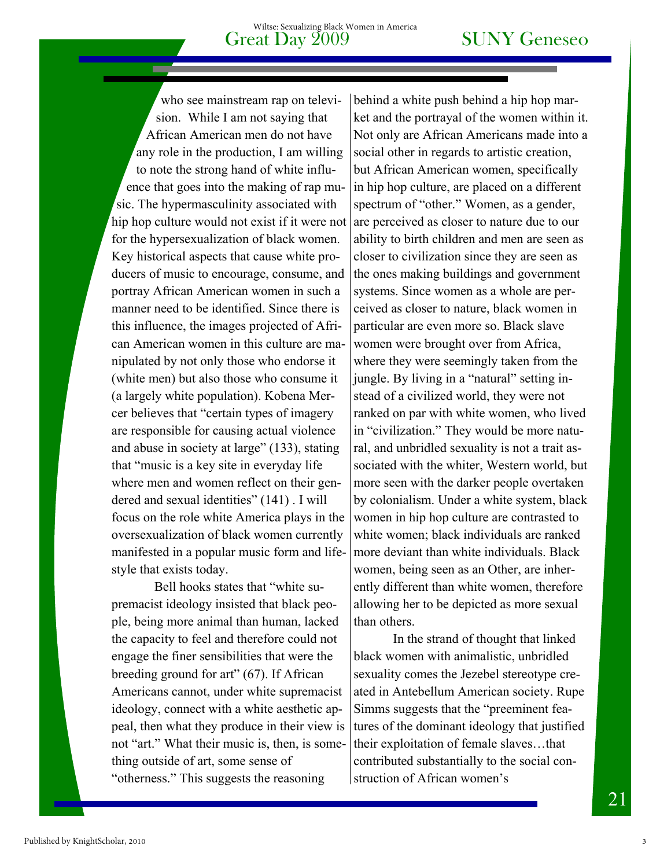#### Great Day  $2009$  SUNY Geneseo Wiltse: Sexualizing Black Women in America

who see mainstream rap on television. While I am not saying that African American men do not have any role in the production, I am willing to note the strong hand of white influence that goes into the making of rap music. The hypermasculinity associated with hip hop culture would not exist if it were not for the hypersexualization of black women. Key historical aspects that cause white producers of music to encourage, consume, and portray African American women in such a manner need to be identified. Since there is this influence, the images projected of African American women in this culture are manipulated by not only those who endorse it (white men) but also those who consume it (a largely white population). Kobena Mercer believes that "certain types of imagery are responsible for causing actual violence and abuse in society at large" (133), stating that "music is a key site in everyday life where men and women reflect on their gendered and sexual identities" (141) . I will focus on the role white America plays in the oversexualization of black women currently manifested in a popular music form and lifestyle that exists today.

 Bell hooks states that "white supremacist ideology insisted that black people, being more animal than human, lacked the capacity to feel and therefore could not engage the finer sensibilities that were the breeding ground for art" (67). If African Americans cannot, under white supremacist ideology, connect with a white aesthetic appeal, then what they produce in their view is not "art." What their music is, then, is something outside of art, some sense of "otherness." This suggests the reasoning

behind a white push behind a hip hop market and the portrayal of the women within it. Not only are African Americans made into a social other in regards to artistic creation, but African American women, specifically in hip hop culture, are placed on a different spectrum of "other." Women, as a gender, are perceived as closer to nature due to our ability to birth children and men are seen as closer to civilization since they are seen as the ones making buildings and government systems. Since women as a whole are perceived as closer to nature, black women in particular are even more so. Black slave women were brought over from Africa, where they were seemingly taken from the jungle. By living in a "natural" setting instead of a civilized world, they were not ranked on par with white women, who lived in "civilization." They would be more natural, and unbridled sexuality is not a trait associated with the whiter, Western world, but more seen with the darker people overtaken by colonialism. Under a white system, black women in hip hop culture are contrasted to white women; black individuals are ranked more deviant than white individuals. Black women, being seen as an Other, are inherently different than white women, therefore allowing her to be depicted as more sexual than others.

In the strand of thought that linked black women with animalistic, unbridled sexuality comes the Jezebel stereotype created in Antebellum American society. Rupe Simms suggests that the "preeminent features of the dominant ideology that justified their exploitation of female slaves…that contributed substantially to the social construction of African women's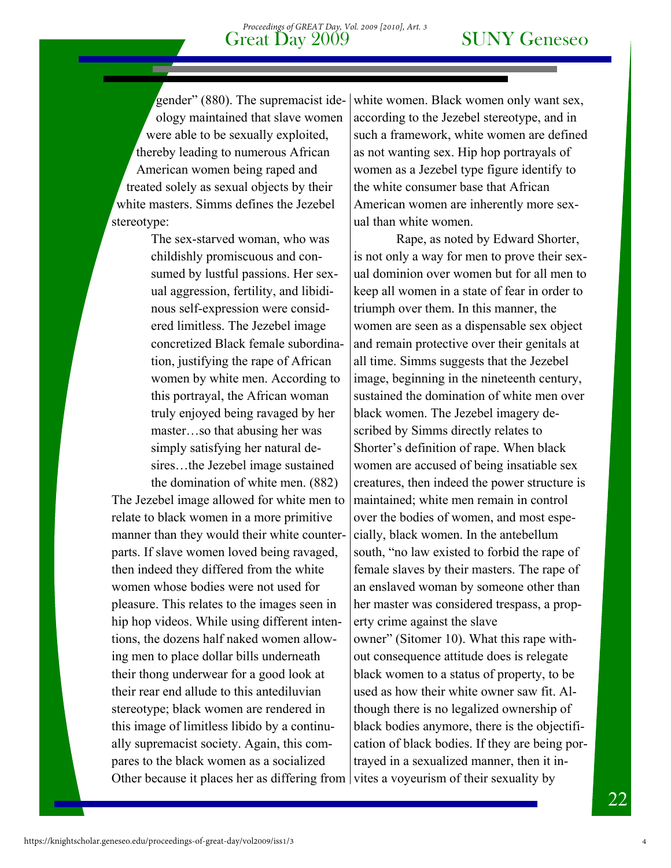gender" (880). The supremacist ideology maintained that slave women were able to be sexually exploited, thereby leading to numerous African American women being raped and treated solely as sexual objects by their white masters. Simms defines the Jezebel stereotype:

The sex-starved woman, who was childishly promiscuous and consumed by lustful passions. Her sexual aggression, fertility, and libidinous self-expression were considered limitless. The Jezebel image concretized Black female subordination, justifying the rape of African women by white men. According to this portrayal, the African woman truly enjoyed being ravaged by her master…so that abusing her was simply satisfying her natural desires…the Jezebel image sustained the domination of white men. (882)

The Jezebel image allowed for white men to relate to black women in a more primitive manner than they would their white counterparts. If slave women loved being ravaged, then indeed they differed from the white women whose bodies were not used for pleasure. This relates to the images seen in hip hop videos. While using different intentions, the dozens half naked women allowing men to place dollar bills underneath their thong underwear for a good look at their rear end allude to this antediluvian stereotype; black women are rendered in this image of limitless libido by a continually supremacist society. Again, this compares to the black women as a socialized Other because it places her as differing from vites a voyeurism of their sexuality by

white women. Black women only want sex, according to the Jezebel stereotype, and in such a framework, white women are defined as not wanting sex. Hip hop portrayals of women as a Jezebel type figure identify to the white consumer base that African American women are inherently more sexual than white women.

 Rape, as noted by Edward Shorter, is not only a way for men to prove their sexual dominion over women but for all men to keep all women in a state of fear in order to triumph over them. In this manner, the women are seen as a dispensable sex object and remain protective over their genitals at all time. Simms suggests that the Jezebel image, beginning in the nineteenth century, sustained the domination of white men over black women. The Jezebel imagery described by Simms directly relates to Shorter's definition of rape. When black women are accused of being insatiable sex creatures, then indeed the power structure is maintained; white men remain in control over the bodies of women, and most especially, black women. In the antebellum south, "no law existed to forbid the rape of female slaves by their masters. The rape of an enslaved woman by someone other than her master was considered trespass, a property crime against the slave owner" (Sitomer 10). What this rape without consequence attitude does is relegate black women to a status of property, to be used as how their white owner saw fit. Although there is no legalized ownership of black bodies anymore, there is the objectification of black bodies. If they are being portrayed in a sexualized manner, then it in-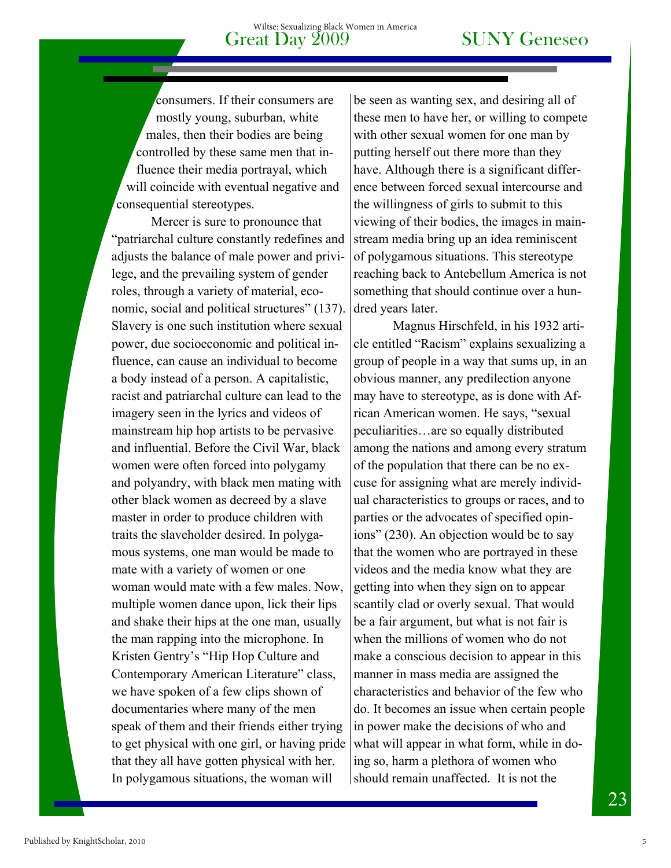#### Great Day 2009 SUNY Geneseo Wiltse: Sexualizing Black Women in America

consumers. If their consumers are mostly young, suburban, white males, then their bodies are being controlled by these same men that influence their media portrayal, which will coincide with eventual negative and consequential stereotypes.

Mercer is sure to pronounce that "patriarchal culture constantly redefines and adjusts the balance of male power and privilege, and the prevailing system of gender roles, through a variety of material, economic, social and political structures" (137). Slavery is one such institution where sexual power, due socioeconomic and political influence, can cause an individual to become a body instead of a person. A capitalistic, racist and patriarchal culture can lead to the imagery seen in the lyrics and videos of mainstream hip hop artists to be pervasive and influential. Before the Civil War, black women were often forced into polygamy and polyandry, with black men mating with other black women as decreed by a slave master in order to produce children with traits the slaveholder desired. In polygamous systems, one man would be made to mate with a variety of women or one woman would mate with a few males. Now, multiple women dance upon, lick their lips and shake their hips at the one man, usually the man rapping into the microphone. In Kristen Gentry's "Hip Hop Culture and Contemporary American Literature" class, we have spoken of a few clips shown of documentaries where many of the men speak of them and their friends either trying to get physical with one girl, or having pride that they all have gotten physical with her. In polygamous situations, the woman will

be seen as wanting sex, and desiring all of these men to have her, or willing to compete with other sexual women for one man by putting herself out there more than they have. Although there is a significant difference between forced sexual intercourse and the willingness of girls to submit to this viewing of their bodies, the images in mainstream media bring up an idea reminiscent of polygamous situations. This stereotype reaching back to Antebellum America is not something that should continue over a hundred years later.

 Magnus Hirschfeld, in his 1932 article entitled "Racism" explains sexualizing a group of people in a way that sums up, in an obvious manner, any predilection anyone may have to stereotype, as is done with African American women. He says, "sexual peculiarities…are so equally distributed among the nations and among every stratum of the population that there can be no excuse for assigning what are merely individual characteristics to groups or races, and to parties or the advocates of specified opinions" (230). An objection would be to say that the women who are portrayed in these videos and the media know what they are getting into when they sign on to appear scantily clad or overly sexual. That would be a fair argument, but what is not fair is when the millions of women who do not make a conscious decision to appear in this manner in mass media are assigned the characteristics and behavior of the few who do. It becomes an issue when certain people in power make the decisions of who and what will appear in what form, while in doing so, harm a plethora of women who should remain unaffected. It is not the